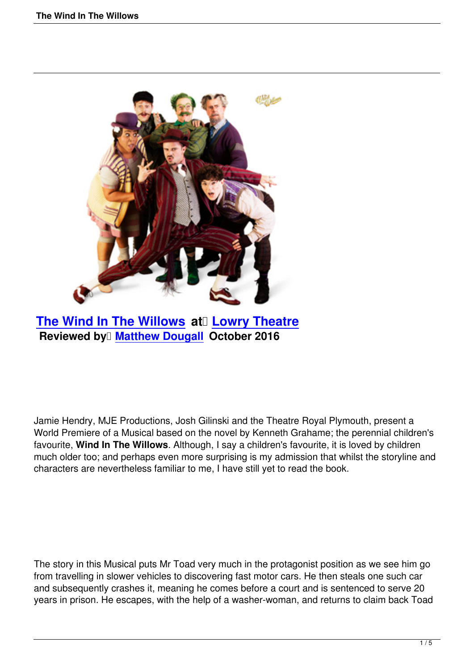

**The Wind In The Willows at Lowry Theatre Reviewed by Matthew Dougall October 2016** 

Jamie Hendry, MJE Productions, Josh Gilinski and the Theatre Royal Plymouth, present a World Premiere of a Musical based on the novel by Kenneth Grahame; the perennial children's favourite, **Wind In The Willows**. Although, I say a children's favourite, it is loved by children much older too; and perhaps even more surprising is my admission that whilst the storyline and characters are nevertheless familiar to me, I have still yet to read the book.

The story in this Musical puts Mr Toad very much in the protagonist position as we see him go from travelling in slower vehicles to discovering fast motor cars. He then steals one such car and subsequently crashes it, meaning he comes before a court and is sentenced to serve 20 years in prison. He escapes, with the help of a washer-woman, and returns to claim back Toad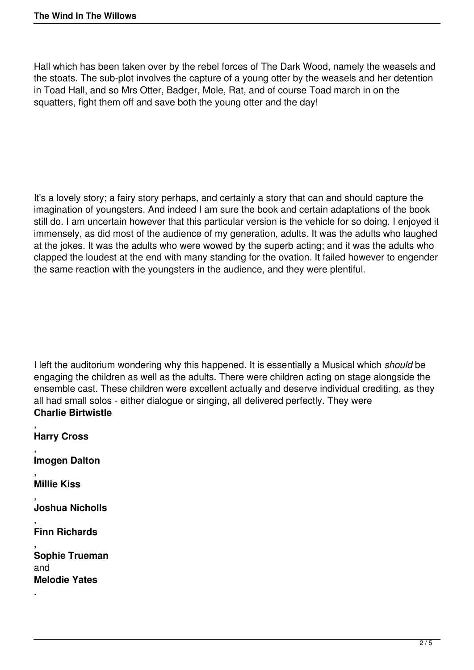Hall which has been taken over by the rebel forces of The Dark Wood, namely the weasels and the stoats. The sub-plot involves the capture of a young otter by the weasels and her detention in Toad Hall, and so Mrs Otter, Badger, Mole, Rat, and of course Toad march in on the squatters, fight them off and save both the young otter and the day!

It's a lovely story; a fairy story perhaps, and certainly a story that can and should capture the imagination of youngsters. And indeed I am sure the book and certain adaptations of the book still do. I am uncertain however that this particular version is the vehicle for so doing. I enjoyed it immensely, as did most of the audience of my generation, adults. It was the adults who laughed at the jokes. It was the adults who were wowed by the superb acting; and it was the adults who clapped the loudest at the end with many standing for the ovation. It failed however to engender the same reaction with the youngsters in the audience, and they were plentiful.

I left the auditorium wondering why this happened. It is essentially a Musical which *should* be engaging the children as well as the adults. There were children acting on stage alongside the ensemble cast. These children were excellent actually and deserve individual crediting, as they all had small solos - either dialogue or singing, all delivered perfectly. They were **Charlie Birtwistle**

, **Harry Cross** , **Imogen Dalton** , **Millie Kiss** , **Joshua Nicholls** , **Finn Richards** , **Sophie Trueman** and **Melodie Yates** .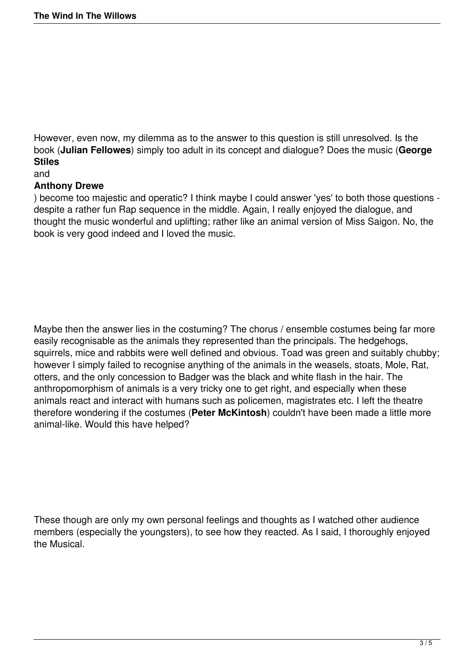However, even now, my dilemma as to the answer to this question is still unresolved. Is the book (**Julian Fellowes**) simply too adult in its concept and dialogue? Does the music (**George Stiles**

### and

## **Anthony Drewe**

) become too majestic and operatic? I think maybe I could answer 'yes' to both those questions despite a rather fun Rap sequence in the middle. Again, I really enjoyed the dialogue, and thought the music wonderful and uplifting; rather like an animal version of Miss Saigon. No, the book is very good indeed and I loved the music.

Maybe then the answer lies in the costuming? The chorus / ensemble costumes being far more easily recognisable as the animals they represented than the principals. The hedgehogs, squirrels, mice and rabbits were well defined and obvious. Toad was green and suitably chubby; however I simply failed to recognise anything of the animals in the weasels, stoats, Mole, Rat, otters, and the only concession to Badger was the black and white flash in the hair. The anthropomorphism of animals is a very tricky one to get right, and especially when these animals react and interact with humans such as policemen, magistrates etc. I left the theatre therefore wondering if the costumes (**Peter McKintosh**) couldn't have been made a little more animal-like. Would this have helped?

These though are only my own personal feelings and thoughts as I watched other audience members (especially the youngsters), to see how they reacted. As I said, I thoroughly enjoyed the Musical.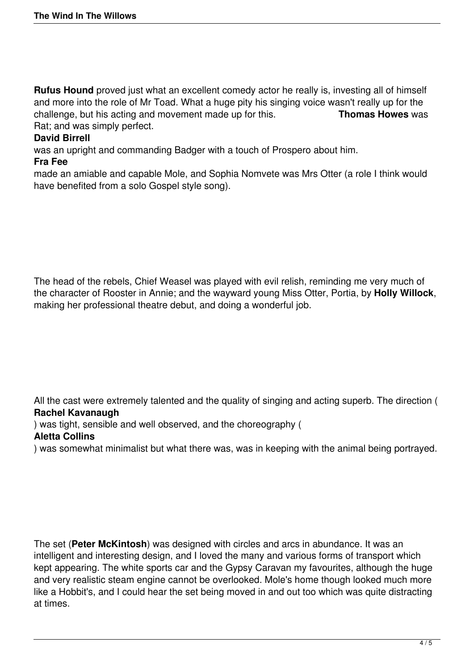**Rufus Hound** proved just what an excellent comedy actor he really is, investing all of himself and more into the role of Mr Toad. What a huge pity his singing voice wasn't really up for the challenge, but his acting and movement made up for this. challenge, but his acting and movement made up for this. Rat; and was simply perfect.

# **David Birrell**

was an upright and commanding Badger with a touch of Prospero about him.

#### **Fra Fee**

made an amiable and capable Mole, and Sophia Nomvete was Mrs Otter (a role I think would have benefited from a solo Gospel style song).

The head of the rebels, Chief Weasel was played with evil relish, reminding me very much of the character of Rooster in Annie; and the wayward young Miss Otter, Portia, by **Holly Willock**, making her professional theatre debut, and doing a wonderful job.

All the cast were extremely talented and the quality of singing and acting superb. The direction ( **Rachel Kavanaugh**

) was tight, sensible and well observed, and the choreography (

## **Aletta Collins**

) was somewhat minimalist but what there was, was in keeping with the animal being portrayed.

The set (**Peter McKintosh**) was designed with circles and arcs in abundance. It was an intelligent and interesting design, and I loved the many and various forms of transport which kept appearing. The white sports car and the Gypsy Caravan my favourites, although the huge and very realistic steam engine cannot be overlooked. Mole's home though looked much more like a Hobbit's, and I could hear the set being moved in and out too which was quite distracting at times.